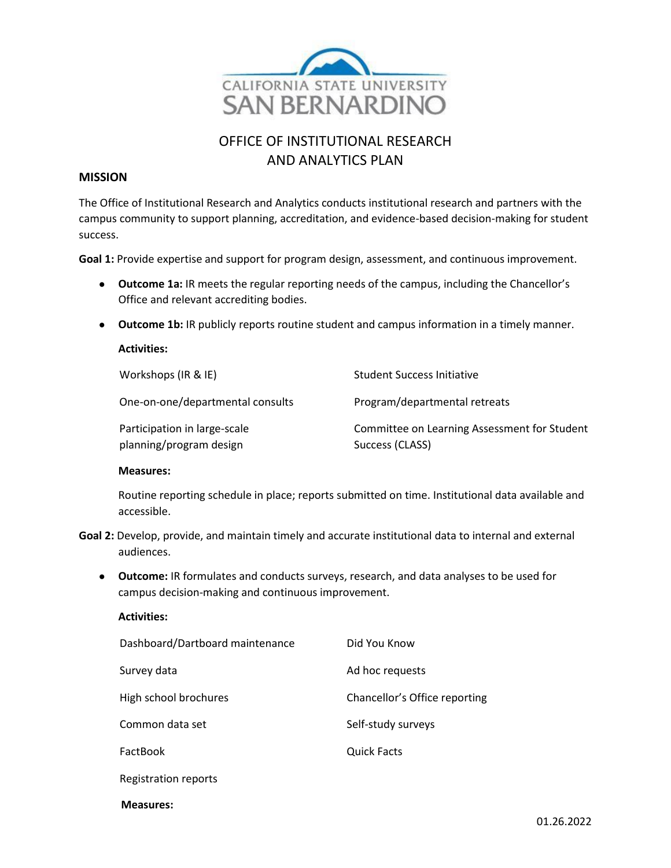

# OFFICE OF INSTITUTIONAL RESEARCH AND ANALYTICS PLAN

## **MISSION**

The Office of Institutional Research and Analytics conducts institutional research and partners with the campus community to support planning, accreditation, and evidence-based decision-making for student success.

**Goal 1:** Provide expertise and support for program design, assessment, and continuous improvement.

- **Outcome 1a:** IR meets the regular reporting needs of the campus, including the Chancellor's Office and relevant accrediting bodies.
- **Outcome 1b:** IR publicly reports routine student and campus information in a timely manner.

## Workshops (IR & IE) Student Success Initiative One-on-one/departmental consults Program/departmental retreats Participation in large-scale planning/program design Committee on Learning Assessment for Student Success (CLASS)

## **Measures:**

**Activities:**

Routine reporting schedule in place; reports submitted on time. Institutional data available and accessible.

- **Goal 2:** Develop, provide, and maintain timely and accurate institutional data to internal and external audiences.
	- **Outcome:** IR formulates and conducts surveys, research, and data analyses to be used for campus decision-making and continuous improvement.

| <b>Activities:</b>              |                               |
|---------------------------------|-------------------------------|
| Dashboard/Dartboard maintenance | Did You Know                  |
| Survey data                     | Ad hoc requests               |
| High school brochures           | Chancellor's Office reporting |
| Common data set                 | Self-study surveys            |
| <b>FactBook</b>                 | <b>Quick Facts</b>            |
| Registration reports            |                               |
|                                 |                               |

#### **Measures:**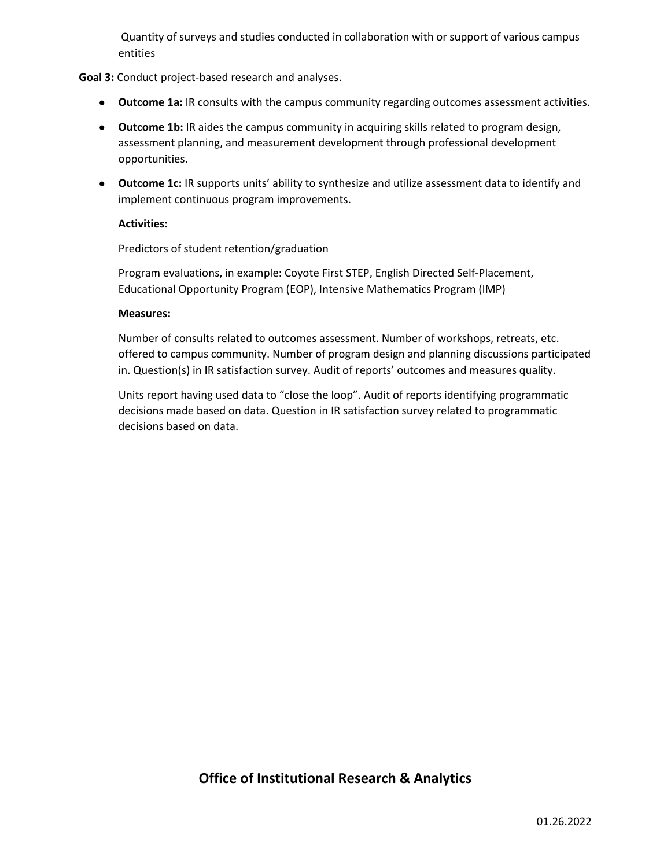Quantity of surveys and studies conducted in collaboration with or support of various campus entities

## **Goal 3:** Conduct project-based research and analyses.

- **Outcome 1a:** IR consults with the campus community regarding outcomes assessment activities.
- **Outcome 1b:** IR aides the campus community in acquiring skills related to program design, assessment planning, and measurement development through professional development opportunities.
- **Outcome 1c:** IR supports units' ability to synthesize and utilize assessment data to identify and implement continuous program improvements.

## **Activities:**

Predictors of student retention/graduation

Program evaluations, in example: Coyote First STEP, English Directed Self-Placement, Educational Opportunity Program (EOP), Intensive Mathematics Program (IMP)

## **Measures:**

Number of consults related to outcomes assessment. Number of workshops, retreats, etc. offered to campus community. Number of program design and planning discussions participated in. Question(s) in IR satisfaction survey. Audit of reports' outcomes and measures quality.

Units report having used data to "close the loop". Audit of reports identifying programmatic decisions made based on data. Question in IR satisfaction survey related to programmatic decisions based on data.

## **Office of Institutional Research & Analytics**